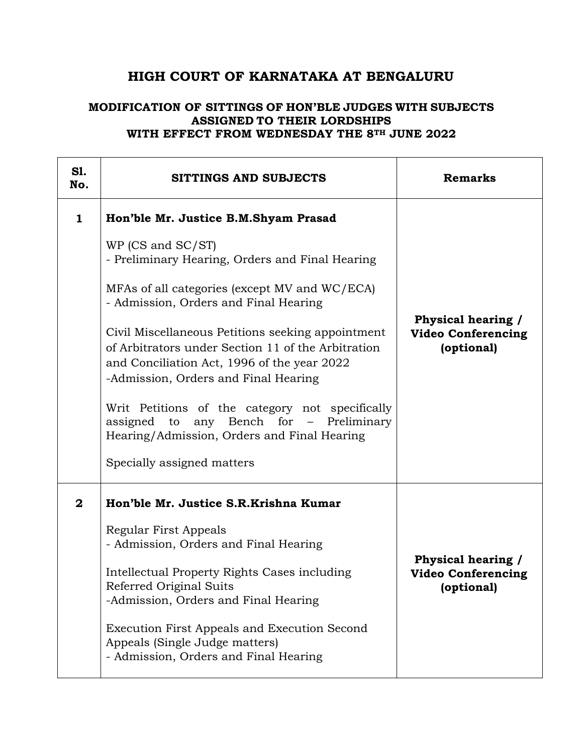## **HIGH COURT OF KARNATAKA AT BENGALURU**

## **MODIFICATION OF SITTINGS OF HON'BLE JUDGES WITH SUBJECTS ASSIGNED TO THEIR LORDSHIPS WITH EFFECT FROM WEDNESDAY THE 8TH JUNE 2022**

| <b>S1.</b><br>No.       | SITTINGS AND SUBJECTS                                                                                                                                                                                                                                                                                                                                                                                                                                                                                                                                                               | <b>Remarks</b>                                                |
|-------------------------|-------------------------------------------------------------------------------------------------------------------------------------------------------------------------------------------------------------------------------------------------------------------------------------------------------------------------------------------------------------------------------------------------------------------------------------------------------------------------------------------------------------------------------------------------------------------------------------|---------------------------------------------------------------|
| $\mathbf{1}$            | Hon'ble Mr. Justice B.M.Shyam Prasad<br>WP (CS and SC/ST)<br>- Preliminary Hearing, Orders and Final Hearing<br>MFAs of all categories (except MV and WC/ECA)<br>- Admission, Orders and Final Hearing<br>Civil Miscellaneous Petitions seeking appointment<br>of Arbitrators under Section 11 of the Arbitration<br>and Conciliation Act, 1996 of the year 2022<br>-Admission, Orders and Final Hearing<br>Writ Petitions of the category not specifically<br>assigned to any Bench for - Preliminary<br>Hearing/Admission, Orders and Final Hearing<br>Specially assigned matters | Physical hearing /<br><b>Video Conferencing</b><br>(optional) |
| $\overline{\mathbf{2}}$ | Hon'ble Mr. Justice S.R.Krishna Kumar<br>Regular First Appeals<br>- Admission, Orders and Final Hearing<br>Intellectual Property Rights Cases including<br>Referred Original Suits<br>-Admission, Orders and Final Hearing<br>Execution First Appeals and Execution Second<br>Appeals (Single Judge matters)<br>- Admission, Orders and Final Hearing                                                                                                                                                                                                                               | Physical hearing /<br><b>Video Conferencing</b><br>(optional) |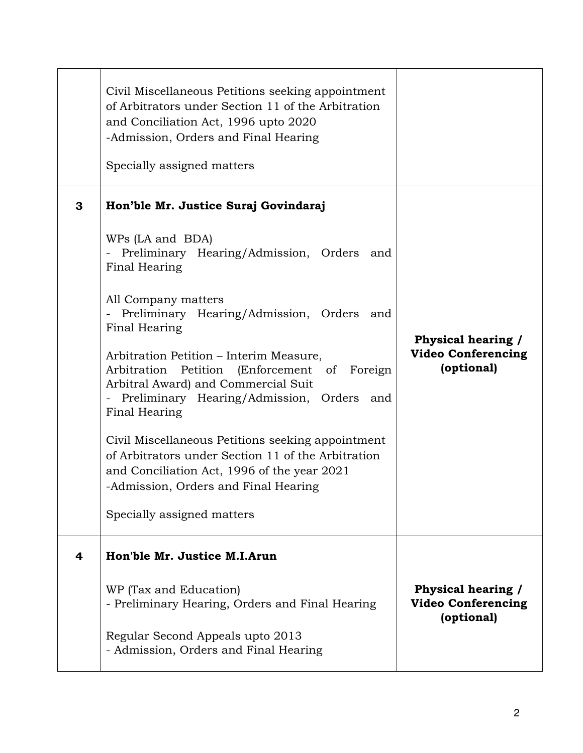|   | Civil Miscellaneous Petitions seeking appointment<br>of Arbitrators under Section 11 of the Arbitration<br>and Conciliation Act, 1996 upto 2020<br>-Admission, Orders and Final Hearing<br>Specially assigned matters |                                                               |
|---|-----------------------------------------------------------------------------------------------------------------------------------------------------------------------------------------------------------------------|---------------------------------------------------------------|
| 3 | Hon'ble Mr. Justice Suraj Govindaraj                                                                                                                                                                                  |                                                               |
|   | WPs (LA and BDA)<br>Preliminary Hearing/Admission, Orders and<br>$\frac{1}{2}$<br>Final Hearing                                                                                                                       |                                                               |
|   | All Company matters<br>- Preliminary Hearing/Admission, Orders and<br>Final Hearing                                                                                                                                   | <b>Physical hearing /</b>                                     |
|   | Arbitration Petition – Interim Measure,<br>Arbitration Petition (Enforcement of Foreign<br>Arbitral Award) and Commercial Suit<br>- Preliminary Hearing/Admission, Orders and<br>Final Hearing                        | <b>Video Conferencing</b><br>(optional)                       |
|   | Civil Miscellaneous Petitions seeking appointment<br>of Arbitrators under Section 11 of the Arbitration<br>and Conciliation Act, 1996 of the year 2021<br>-Admission, Orders and Final Hearing                        |                                                               |
|   | Specially assigned matters                                                                                                                                                                                            |                                                               |
| 4 | Hon'ble Mr. Justice M.I.Arun                                                                                                                                                                                          |                                                               |
|   | WP (Tax and Education)<br>- Preliminary Hearing, Orders and Final Hearing                                                                                                                                             | Physical hearing /<br><b>Video Conferencing</b><br>(optional) |
|   | Regular Second Appeals upto 2013<br>- Admission, Orders and Final Hearing                                                                                                                                             |                                                               |